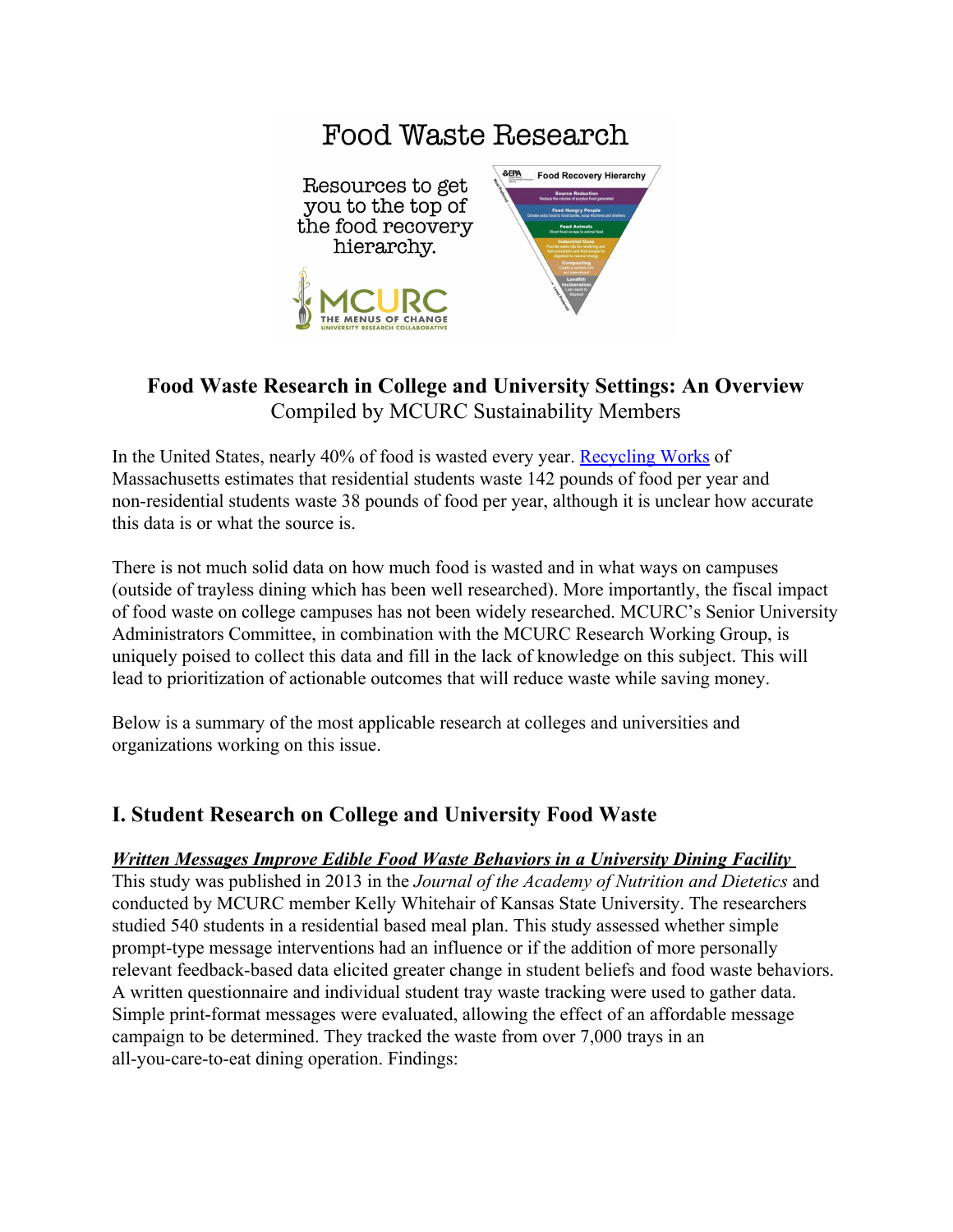

# **Food Waste Research in College and University Settings: An Overview** Compiled by MCURC Sustainability Members

In the United States, nearly 40% of food is wasted every year. [Recycling Works](https://recyclingworksma.com/food-waste-estimation-guide/#Jump01) of Massachusetts estimates that residential students waste 142 pounds of food per year and non-residential students waste 38 pounds of food per year, although it is unclear how accurate this data is or what the source is.

There is not much solid data on how much food is wasted and in what ways on campuses (outside of trayless dining which has been well researched). More importantly, the fiscal impact of food waste on college campuses has not been widely researched. MCURC's Senior University Administrators Committee, in combination with the MCURC Research Working Group, is uniquely poised to collect this data and fill in the lack of knowledge on this subject. This will lead to prioritization of actionable outcomes that will reduce waste while saving money.

Below is a summary of the most applicable research at colleges and universities and organizations working on this issue.

# **I. Student Research on College and University Food Waste**

### *[Written Messages Improve Edible Food Waste Behaviors in a University Dining Facility](http://www.sciencedirect.com/science/article/pii/S2212267212016425)*

This study was published in 2013 in the *Journal of the Academy of Nutrition and Dietetics* and conducted by MCURC member Kelly Whitehair of Kansas State University. The researchers studied 540 students in a residential based meal plan. This study assessed whether simple prompt-type message interventions had an influence or if the addition of more personally relevant feedback-based data elicited greater change in student beliefs and food waste behaviors. A written questionnaire and individual student tray waste tracking were used to gather data. Simple print-format messages were evaluated, allowing the effect of an affordable message campaign to be determined. They tracked the waste from over 7,000 trays in an all-you-care-to-eat dining operation. Findings: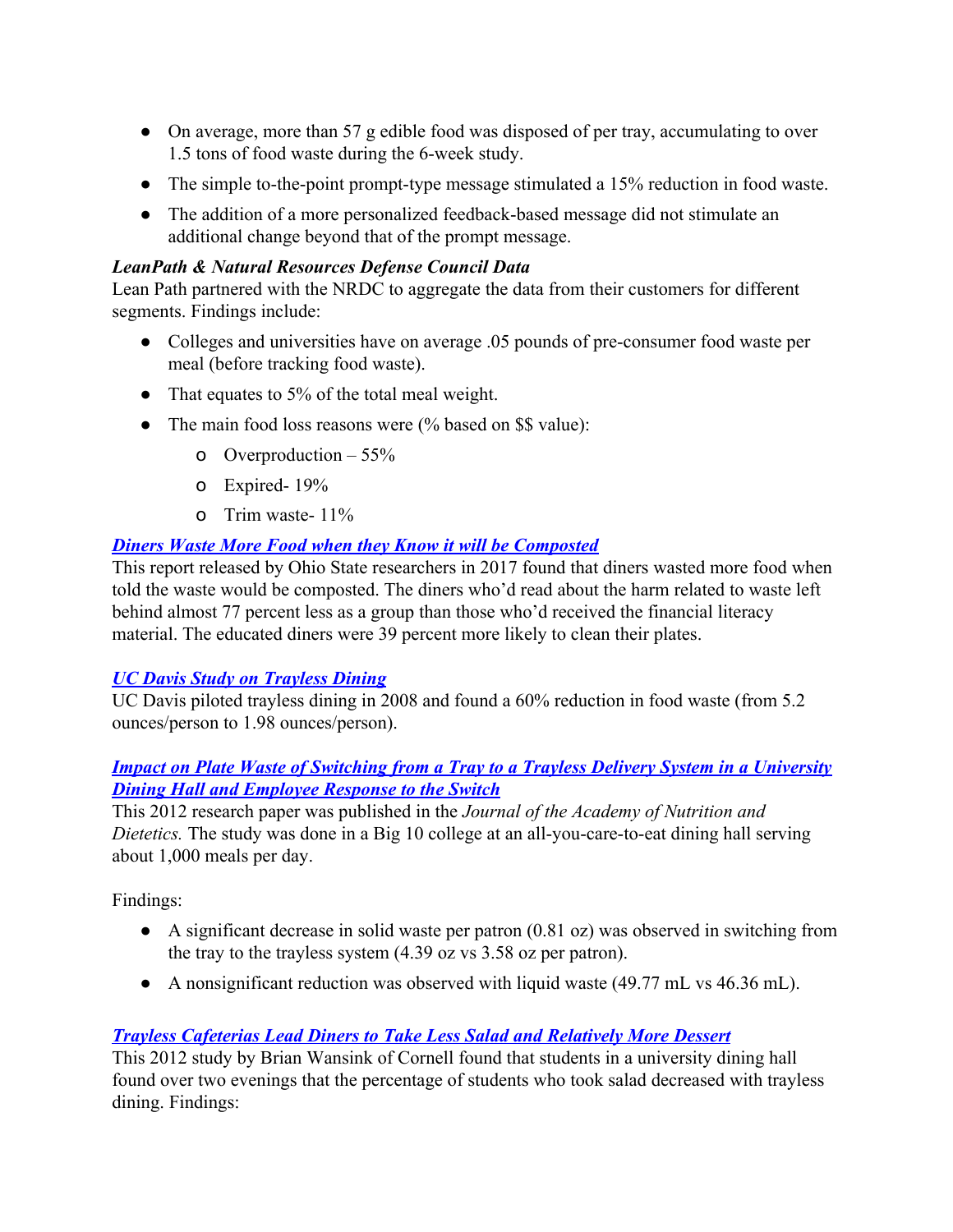- On average, more than 57 g edible food was disposed of per tray, accumulating to over 1.5 tons of food waste during the 6-week study.
- The simple to-the-point prompt-type message stimulated a 15% reduction in food waste.
- The addition of a more personalized feedback-based message did not stimulate an additional change beyond that of the prompt message.

# *LeanPath & Natural Resources Defense Council Data*

Lean Path partnered with the NRDC to aggregate the data from their customers for different segments. Findings include:

- Colleges and universities have on average .05 pounds of pre-consumer food waste per meal (before tracking food waste).
- That equates to 5% of the total meal weight.
- The main food loss reasons were (% based on \$\$ value):
	- o Overproduction  $-55%$
	- o Expired- 19%
	- o Trim waste- 11%

# *[Diners Waste More Food when they Know it will be Composted](https://news.osu.edu/news/2017/01/03/food-waste-compost/)*

This report released by Ohio State researchers in 2017 found that diners wasted more food when told the waste would be composted. The diners who'd read about the harm related to waste left behind almost 77 percent less as a group than those who'd received the financial literacy material. The educated diners were 39 percent more likely to clean their plates.

### *UC Davis Study on Trayless Dining*

UC Davis piloted trayless dining in 2008 and found a 60% reduction in food waste (from 5.2 ounces/person to 1.98 ounces/person).

# *[Impact on Plate Waste of Switching from a Tray to a Trayless Delivery System in a University](https://www.ncbi.nlm.nih.gov/pubmed/23088899) [Dining Hall and Employee Response to the Switch](https://www.ncbi.nlm.nih.gov/pubmed/23088899)*

This 2012 research paper was published in the *Journal of the Academy of Nutrition and Dietetics.* The study was done in a Big 10 college at an all-you-care-to-eat dining hall serving about 1,000 meals per day.

Findings:

- A significant decrease in solid waste per patron (0.81 oz) was observed in switching from the tray to the trayless system (4.39 oz vs 3.58 oz per patron).
- A nonsignificant reduction was observed with liquid waste (49.77 mL vs 46.36 mL).

# *[Trayless Cafeterias Lead Diners to Take Less Salad and Relatively More Dessert](http://search.proquest.com/docview/1692760064/fulltextPDF/45638784EB2C44D8PQ/1?accountid=14026)*

This 2012 study by Brian Wansink of Cornell found that students in a university dining hall found over two evenings that the percentage of students who took salad decreased with trayless dining. Findings: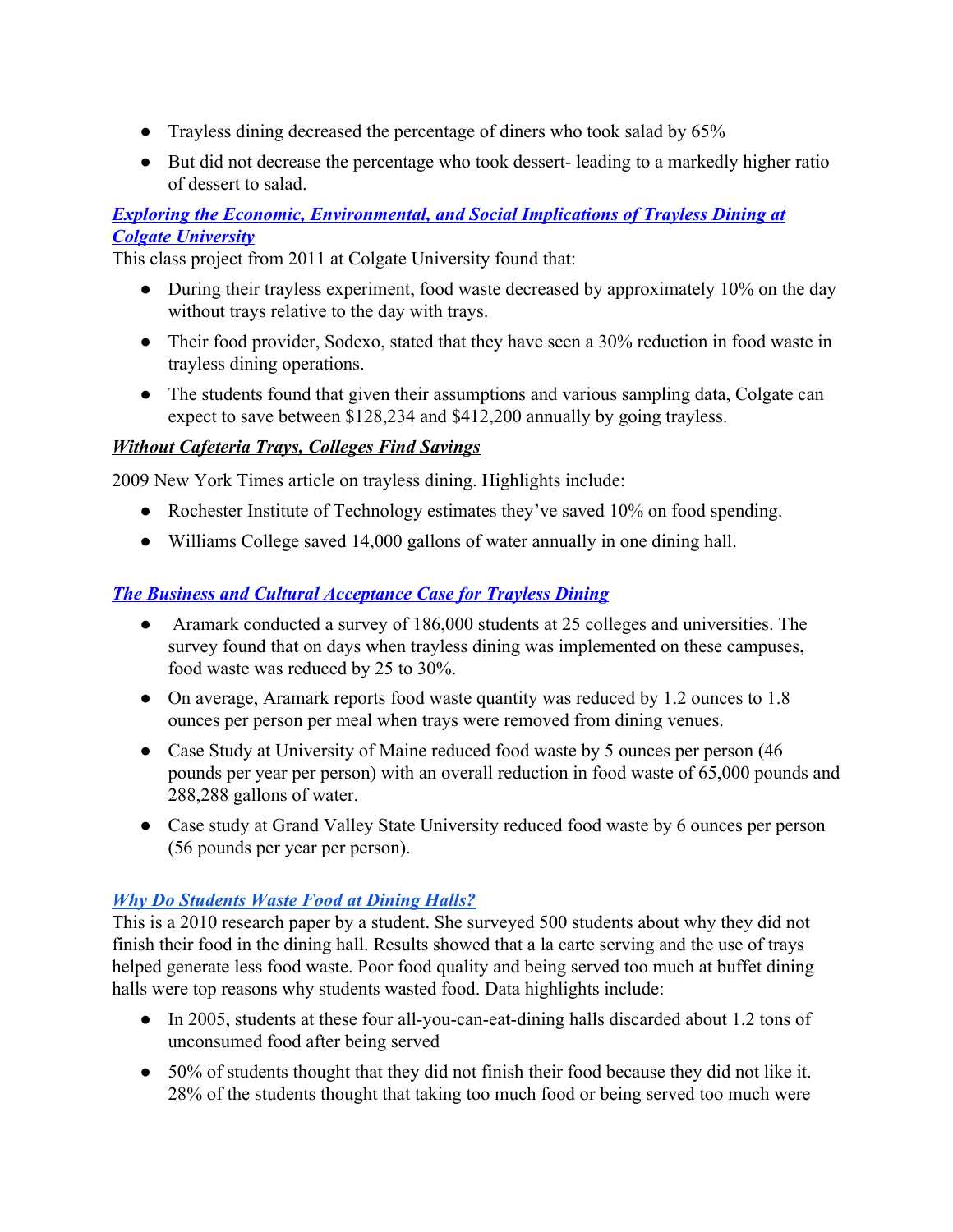- Trayless dining decreased the percentage of diners who took salad by 65%
- But did not decrease the percentage who took dessert- leading to a markedly higher ratio of dessert to salad.

# *[Exploring the Economic, Environmental, and Social Implications of Trayless Dining at](http://cms.colgate.edu/portaldata/imagegallerywww/d0f441dc-098d-4190-9faa-348b1c72ee56/ImageGallery/ENST%20390%20Trayless%20Report.pdf) [Colgate University](http://cms.colgate.edu/portaldata/imagegallerywww/d0f441dc-098d-4190-9faa-348b1c72ee56/ImageGallery/ENST%20390%20Trayless%20Report.pdf)*

This class project from 2011 at Colgate University found that:

- During their trayless experiment, food waste decreased by approximately 10% on the day without trays relative to the day with trays.
- Their food provider, Sodexo, stated that they have seen a 30% reduction in food waste in trayless dining operations.
- The students found that given their assumptions and various sampling data, Colgate can expect to save between \$128,234 and \$412,200 annually by going trayless.

# *[Without Cafeteria Trays, Colleges Find Savings](http://www.nytimes.com/2009/04/29/nyregion/29tray.html)*

2009 New York Times article on trayless dining. Highlights include:

- Rochester Institute of Technology estimates they've saved 10% on food spending.
- Williams College saved 14,000 gallons of water annually in one dining hall.

# *[The Business and Cultural Acceptance Case for Trayless Dining](http://www.elon.edu/docs/e-web/bft/sustainability/ARAMARK%20Trayless%20Dining%20July%202008%20FINAL.pdf)*

- Aramark conducted a survey of 186,000 students at 25 colleges and universities. The survey found that on days when trayless dining was implemented on these campuses, food waste was reduced by 25 to 30%.
- On average, Aramark reports food waste quantity was reduced by 1.2 ounces to 1.8 ounces per person per meal when trays were removed from dining venues.
- Case Study at University of Maine reduced food waste by 5 ounces per person (46) pounds per year per person) with an overall reduction in food waste of 65,000 pounds and 288,288 gallons of water.
- Case study at Grand Valley State University reduced food waste by 6 ounces per person (56 pounds per year per person).

# *[Why Do Students Waste Food at Dining Halls?](https://nature.berkeley.edu/classes/es196/projects/2010final/LamY_2010.pdf)*

This is a 2010 research paper by a student. She surveyed 500 students about why they did not finish their food in the dining hall. Results showed that a la carte serving and the use of trays helped generate less food waste. Poor food quality and being served too much at buffet dining halls were top reasons why students wasted food. Data highlights include:

- In 2005, students at these four all-you-can-eat-dining halls discarded about 1.2 tons of unconsumed food after being served
- 50% of students thought that they did not finish their food because they did not like it. 28% of the students thought that taking too much food or being served too much were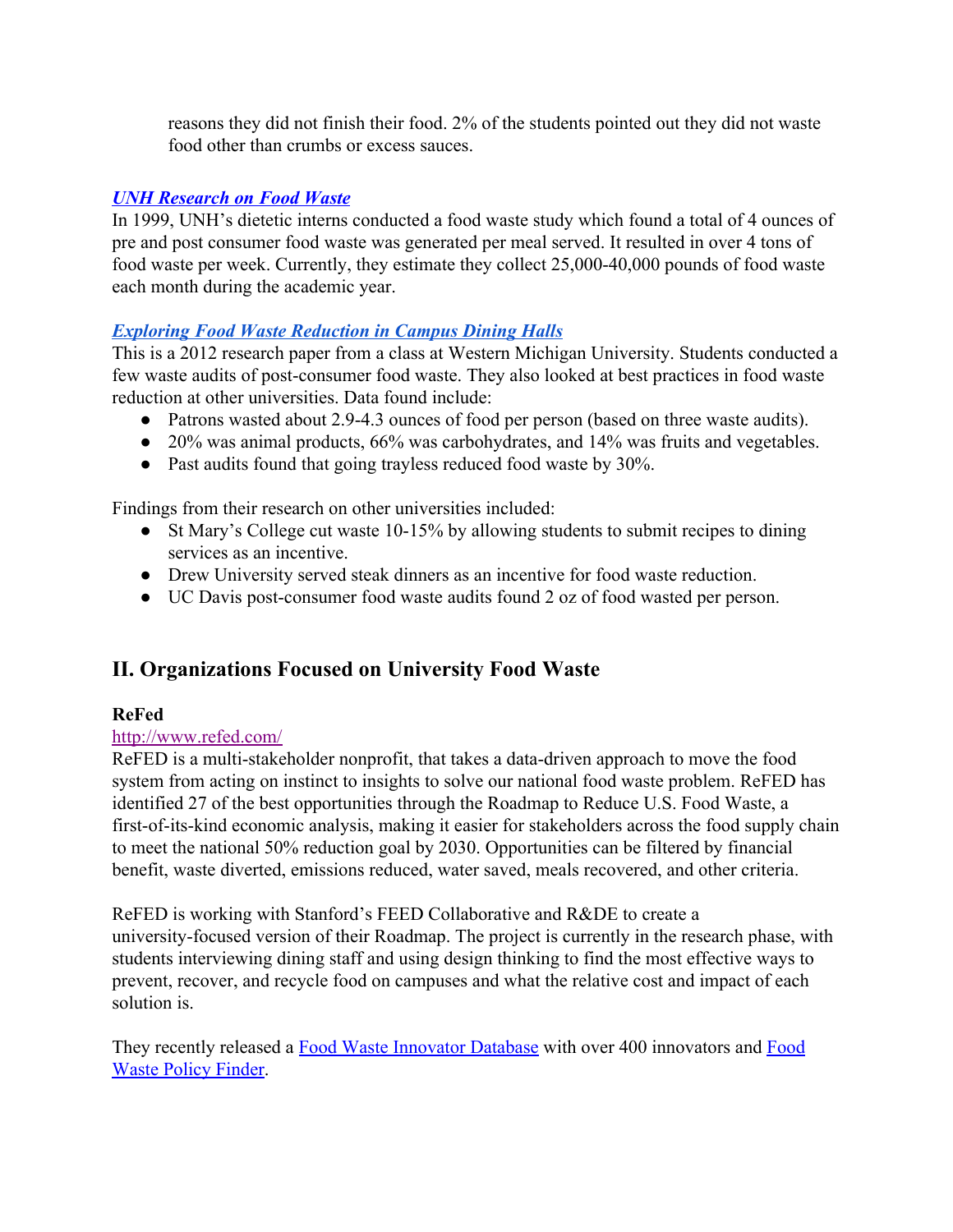reasons they did not finish their food. 2% of the students pointed out they did not waste food other than crumbs or excess sauces.

# *[UNH Research on Food Waste](http://sustainableunh.unh.edu/compost)*

In 1999, UNH's dietetic interns conducted a food waste study which found a total of 4 ounces of pre and post consumer food waste was generated per meal served. It resulted in over 4 tons of food waste per week. Currently, they estimate they collect 25,000-40,000 pounds of food waste each month during the academic year.

# *[Exploring Food Waste Reduction in Campus Dining Halls](https://wmich.edu/sites/default/files/attachments/ENVS%204100%20Final%20Project%20Report%20-%20Merrow,%20Penzien,%20Dubats.pdf)*

This is a 2012 research paper from a class at Western Michigan University. Students conducted a few waste audits of post-consumer food waste. They also looked at best practices in food waste reduction at other universities. Data found include:

- Patrons wasted about 2.9-4.3 ounces of food per person (based on three waste audits).
- 20% was animal products, 66% was carbohydrates, and 14% was fruits and vegetables.
- Past audits found that going trayless reduced food waste by 30%.

Findings from their research on other universities included:

- St Mary's College cut waste 10-15% by allowing students to submit recipes to dining services as an incentive.
- Drew University served steak dinners as an incentive for food waste reduction.
- UC Davis post-consumer food waste audits found 2 oz of food wasted per person.

# **II. Organizations Focused on University Food Waste**

# **ReFed**

### <http://www.refed.com/>

ReFED is a multi-stakeholder nonprofit, that takes a data-driven approach to move the food system from acting on instinct to insights to solve our national food waste problem. ReFED has identified 27 of the best opportunities through the [Roadmap to Reduce U.S. Food Waste,](http://refed.com/roadmap) a first-of-its-kind economic analysis, making it easier for stakeholders across the food supply chain to meet the national 50% reduction goal by 2030. Opportunities can be filtered by financial benefit, waste diverted, emissions reduced, water saved, meals recovered, and other criteria.

ReFED is working with Stanford's FEED Collaborative and R&DE to create a university-focused version of their Roadmap. The project is currently in the research phase, with students interviewing dining staff and using design thinking to find the most effective ways to prevent, recover, and recycle food on campuses and what the relative cost and impact of each solution is.

They recently released a [Food Waste Innovator Database](http://www.refed.com/tools/innovator-database/) with over 400 innovators and [Food](http://www.refed.com/tools/food-waste-policy-finder/) [Waste Policy Finder.](http://www.refed.com/tools/food-waste-policy-finder/)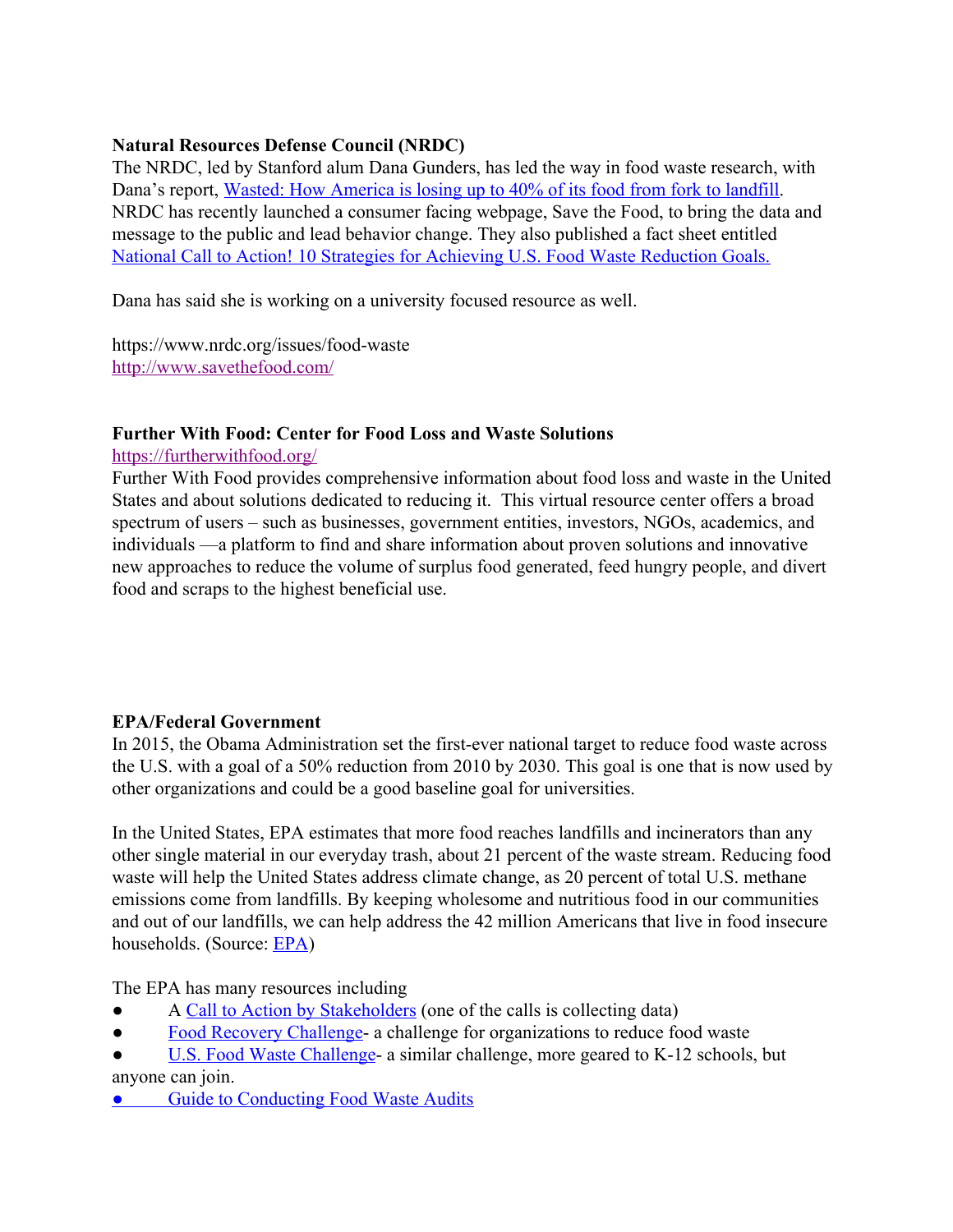# **Natural Resources Defense Council (NRDC)**

The NRDC, led by Stanford alum Dana Gunders, has led the way in food waste research, with Dana's report, [Wasted: How America is losing up to 40% of its food from fork to landfill.](https://www.nrdc.org/resources/wasted-how-america-losing-40-percent-its-food-farm-fork-landfill) NRDC has recently launched a consumer facing webpage, Save the Food, to bring the data and message to the public and lead behavior change. They also published a fact sheet entitled [National Call to Action! 10 Strategies for Achieving U.S. Food Waste Reduction Goals.](https://www.nrdc.org/sites/default/files/ten-strategies-us-food-waste-reduction-goals-fs.pdf)

Dana has said she is working on a university focused resource as well.

https://www.nrdc.org/issues/food-waste <http://www.savethefood.com/>

#### **Further With Food: Center for Food Loss and Waste Solutions**

<https://furtherwithfood.org/>

Further With Food provides comprehensive information about food loss and waste in the United States and about solutions dedicated to reducing it. This virtual resource center offers a broad spectrum of users – such as businesses, government entities, investors, NGOs, academics, and individuals —a platform to find and share information about proven solutions and innovative new approaches to reduce the volume of surplus food generated, feed hungry people, and divert food and scraps to the highest beneficial use.

### **EPA/Federal Government**

In 2015, the Obama Administration set the first-ever national target to reduce food waste across the U.S. with a goal of a 50% reduction from 2010 by 2030. This goal is one that is now used by other organizations and could be a good baseline goal for universities.

In the United States, EPA estimates that more food reaches landfills and incinerators than any other single material in our everyday trash, about 21 percent of the waste stream. Reducing food waste will help the United States address climate change, as 20 percent of total U.S. methane emissions come from landfills. By keeping wholesome and nutritious food in our communities and out of our landfills, we can help address the 42 million Americans that live in food insecure households. (Source: [EPA](https://www.epa.gov/sustainable-management-food/united-states-2030-food-loss-and-waste-reduction-goal))

The EPA has many resources including

- A [Call to Action by Stakeholders](https://www.epa.gov/sustainable-management-food/call-action-stakeholders-united-states-food-loss-waste-2030-reduction) (one of the calls is collecting data)
- [Food Recovery Challenge](https://www.epa.gov/sustainable-management-food/food-recovery-challenge-frc) a challenge for organizations to reduce food waste
- [U.S. Food Waste Challenge-](https://www.usda.gov/oce/foodwaste/join.htm) a similar challenge, more geared to K-12 schools, but anyone can join.
- [Guide to Conducting Food Waste Audits](https://furtherwithfood.org/resources/guide-conducting-student-food-waste-audits-resource-schools/)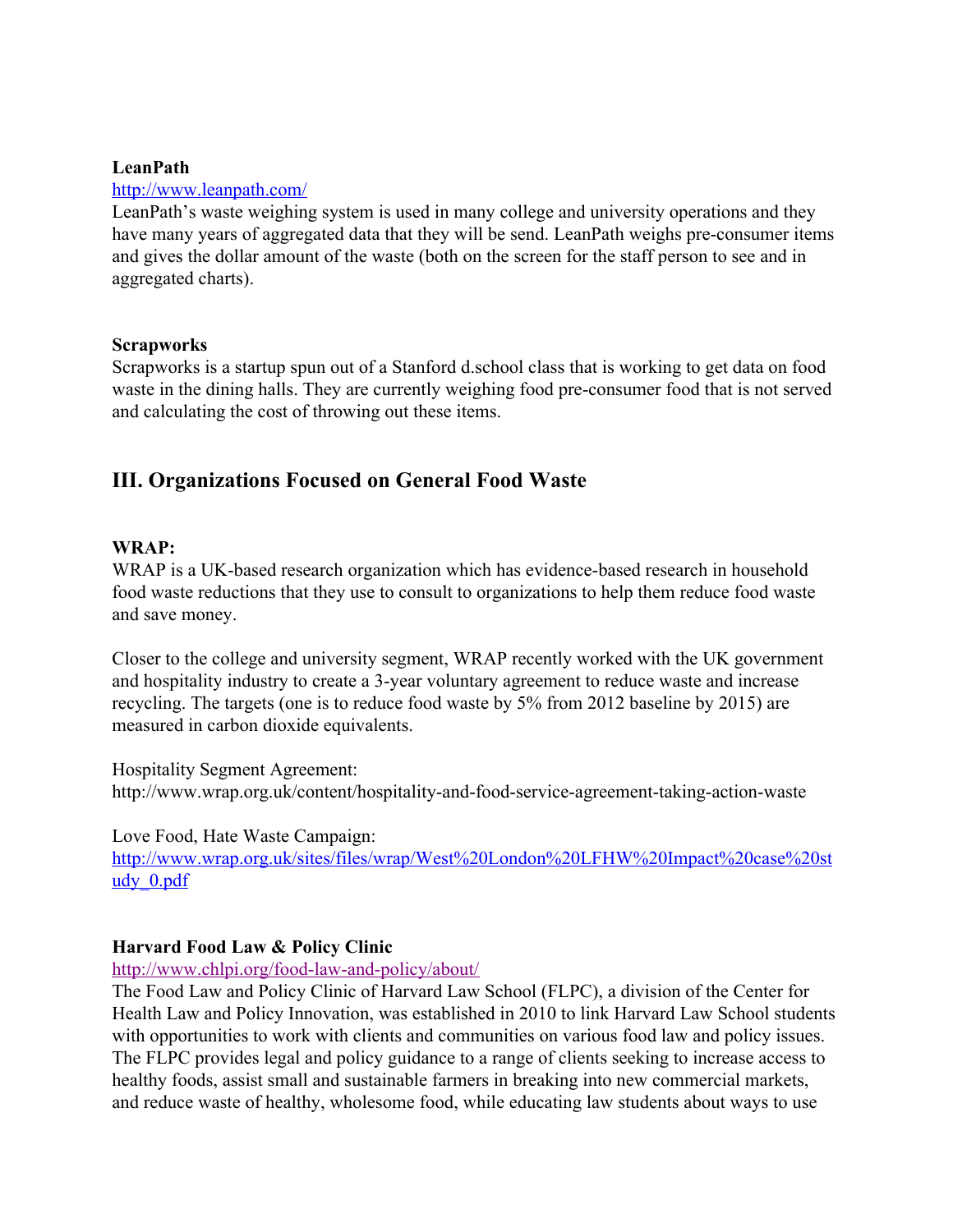### **LeanPath**

#### <http://www.leanpath.com/>

LeanPath's waste weighing system is used in many college and university operations and they have many years of aggregated data that they will be send. LeanPath weighs pre-consumer items and gives the dollar amount of the waste (both on the screen for the staff person to see and in aggregated charts).

#### **Scrapworks**

Scrapworks is a startup spun out of a Stanford d.school class that is working to get data on food waste in the dining halls. They are currently weighing food pre-consumer food that is not served and calculating the cost of throwing out these items.

# **III. Organizations Focused on General Food Waste**

#### **WRAP:**

WRAP is a UK-based research organization which has evidence-based research in household food waste reductions that they use to consult to organizations to help them reduce food waste and save money.

Closer to the college and university segment, WRAP recently worked with the UK government and hospitality industry to create a 3-year voluntary agreement to reduce waste and increase recycling. The targets (one is to reduce food waste by 5% from 2012 baseline by 2015) are measured in carbon dioxide equivalents.

Hospitality Segment Agreement: http://www.wrap.org.uk/content/hospitality-and-food-service-agreement-taking-action-waste

Love Food, Hate Waste Campaign:

[http://www.wrap.org.uk/sites/files/wrap/West%20London%20LFHW%20Impact%20case%20st](http://www.wrap.org.uk/sites/files/wrap/West%20London%20LFHW%20Impact%20case%20study_0.pdf) udy 0.pdf

#### **Harvard Food Law & Policy Clinic**

<http://www.chlpi.org/food-law-and-policy/about/>

The Food Law and Policy Clinic of Harvard Law School (FLPC), a division of the Center for Health Law and Policy Innovation, was established in 2010 to link Harvard Law School students with opportunities to work with clients and communities on various food law and policy issues. The FLPC provides legal and policy guidance to a range of clients seeking to increase access to healthy foods, assist small and sustainable farmers in breaking into new commercial markets, and reduce waste of healthy, wholesome food, while educating law students about ways to use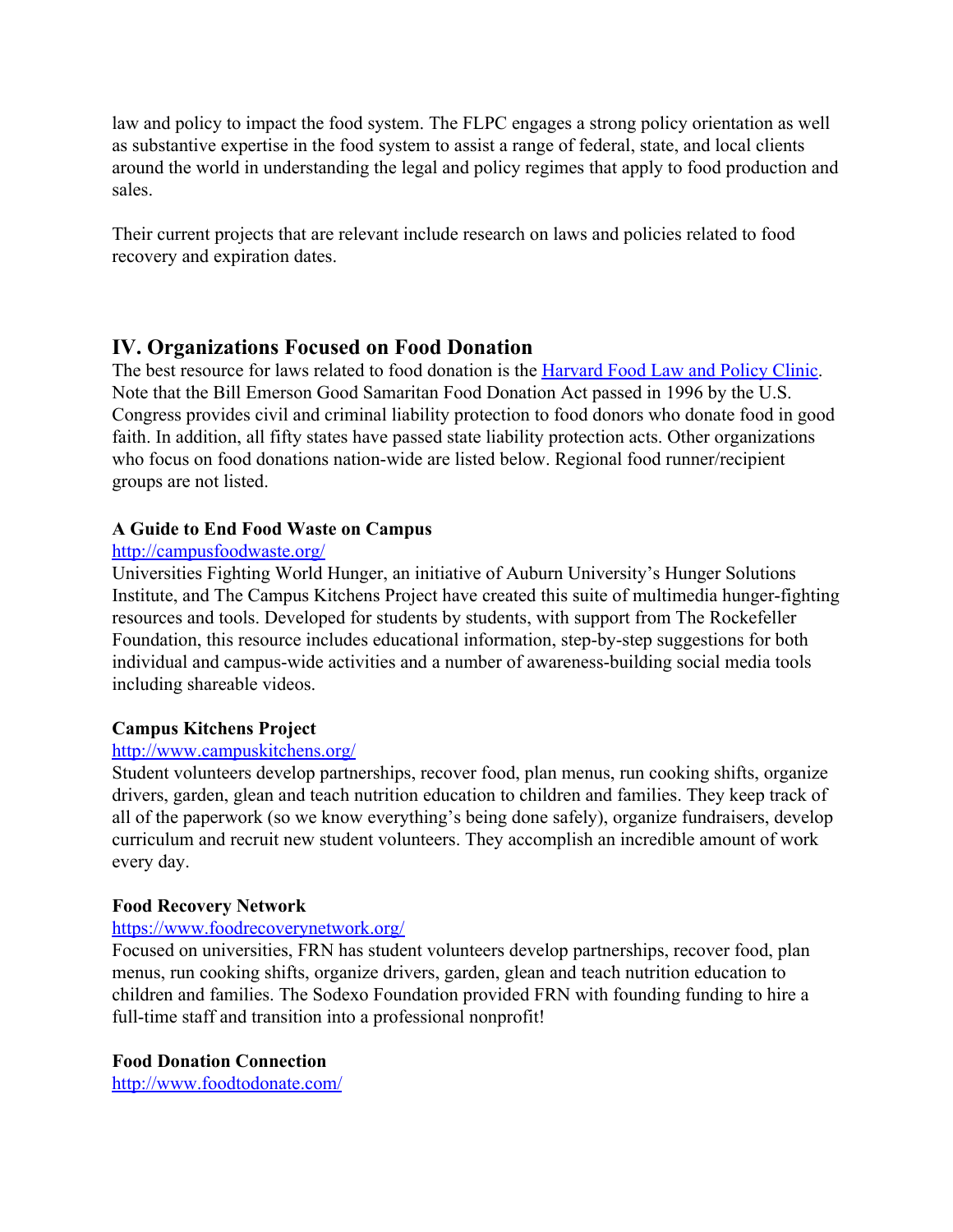law and policy to impact the food system. The FLPC engages a strong policy orientation as well as substantive expertise in the food system to assist a range of federal, state, and local clients around the world in understanding the legal and policy regimes that apply to food production and sales.

Their current projects that are relevant include research on laws and policies related to food recovery and expiration dates.

# **IV. Organizations Focused on Food Donation**

The best resource for laws related to food donation is the [Harvard Food Law and Policy Clinic.](http://www.chlpi.org/food_library/?fwp_food_publication_topic=food-donation) Note that the Bill Emerson Good Samaritan Food Donation Act passed in 1996 by the U.S. Congress provides civil and criminal liability protection to food donors who donate food in good faith. In addition, all fifty states have passed state liability protection acts. Other organizations who focus on food donations nation-wide are listed below. Regional food runner/recipient groups are not listed.

# **[A Guide to End Food Waste on Campus](http://campusfoodwaste.org/)**

#### <http://campusfoodwaste.org/>

Universities Fighting World Hunger, an initiative of Auburn University's Hunger Solutions Institute, and The Campus Kitchens Project have created this suite of multimedia hunger-fighting resources and tools. Developed for students by students, with support from The Rockefeller Foundation, this resource includes educational information, step-by-step suggestions for both individual and campus-wide activities and a number of awareness-building social media tools including shareable videos.

### **[Campus Kitchens Project](http://www.campuskitchens.org/)**

### <http://www.campuskitchens.org/>

Student volunteers develop partnerships, recover food, plan menus, run cooking shifts, organize drivers, garden, glean and teach nutrition education to children and families. They keep track of all of the paperwork (so we know everything's being done safely), organize fundraisers, develop curriculum and recruit new student volunteers. They accomplish an incredible amount of work every day.

### **[Food Recovery Network](https://www.foodrecoverynetwork.org/)**

### <https://www.foodrecoverynetwork.org/>

Focused on universities, FRN has student volunteers develop partnerships, recover food, plan menus, run cooking shifts, organize drivers, garden, glean and teach nutrition education to children and families. The Sodexo Foundation provided FRN with founding funding to hire a full-time staff and transition into a professional nonprofit!

### **[Food Donation Connection](http://www.foodtodonate.com/)**

<http://www.foodtodonate.com/>